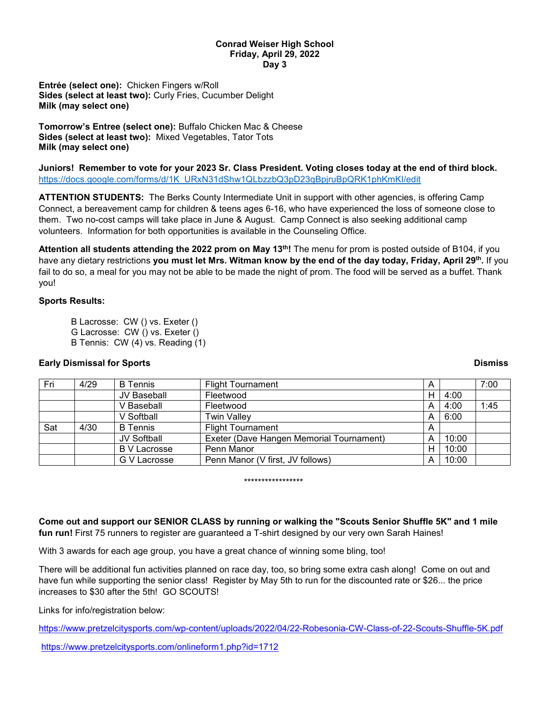## **Conrad Weiser High School Friday, April 29, 2022 Day 3**

**Entrée (select one):** Chicken Fingers w/Roll **Sides (select at least two):** Curly Fries, Cucumber Delight **Milk (may select one)**

**Tomorrow's Entree (select one):** Buffalo Chicken Mac & Cheese **Sides (select at least two):** Mixed Vegetables, Tator Tots **Milk (may select one)**

**Juniors! Remember to vote for your 2023 Sr. Class President. Voting closes today at the end of third block.** [https://docs.google.com/forms/d/1K\\_URxN31dShw1QLbzzbQ3pD23qBpjruBpQRK1phKmKI/edit](https://docs.google.com/forms/d/1K_URxN31dShw1QLbzzbQ3pD23qBpjruBpQRK1phKmKI/edit)

**ATTENTION STUDENTS:** The Berks County Intermediate Unit in support with other agencies, is offering Camp Connect, a bereavement camp for children & teens ages 6-16, who have experienced the loss of someone close to them. Two no-cost camps will take place in June & August. Camp Connect is also seeking additional camp volunteers. Information for both opportunities is available in the Counseling Office.

**Attention all students attending the 2022 prom on May 13th!** The menu for prom is posted outside of B104, if you have any dietary restrictions **you must let Mrs. Witman know by the end of the day today, Friday, April 29th.** If you fail to do so, a meal for you may not be able to be made the night of prom. The food will be served as a buffet. Thank you!

## **Sports Results:**

B Lacrosse: CW () vs. Exeter () G Lacrosse: CW () vs. Exeter () B Tennis: CW (4) vs. Reading (1)

# **Early Dismissal for Sports Dismiss**

| Fri | 4/29 | <b>B</b> Tennis     | <b>Flight Tournament</b>                 | A |       | 7:00 |
|-----|------|---------------------|------------------------------------------|---|-------|------|
|     |      | JV Baseball         | Fleetwood                                | н | 4:00  |      |
|     |      | V Baseball          | Fleetwood                                | A | 4:00  | 1:45 |
|     |      | V Softball          | <b>Twin Valley</b>                       | A | 6:00  |      |
| Sat | 4/30 | <b>B</b> Tennis     | <b>Flight Tournament</b>                 | A |       |      |
|     |      | <b>JV Softball</b>  | Exeter (Dave Hangen Memorial Tournament) | A | 10:00 |      |
|     |      | <b>B</b> V Lacrosse | Penn Manor                               | н | 10:00 |      |
|     |      | G V Lacrosse        | Penn Manor (V first, JV follows)         | А | 10:00 |      |

### \*\*\*\*\*\*\*\*\*\*\*\*\*\*\*\*\*

**Come out and support our SENIOR CLASS by running or walking the "Scouts Senior Shuffle 5K" and 1 mile fun run!** First 75 runners to register are guaranteed a T-shirt designed by our very own Sarah Haines!

With 3 awards for each age group, you have a great chance of winning some bling, too!

There will be additional fun activities planned on race day, too, so bring some extra cash along! Come on out and have fun while supporting the senior class! Register by May 5th to run for the discounted rate or \$26... the price increases to \$30 after the 5th! GO SCOUTS!

Links for info/registration below:

<https://www.pretzelcitysports.com/wp-content/uploads/2022/04/22-Robesonia-CW-Class-of-22-Scouts-Shuffle-5K.pdf>

<https://www.pretzelcitysports.com/onlineform1.php?id=1712>